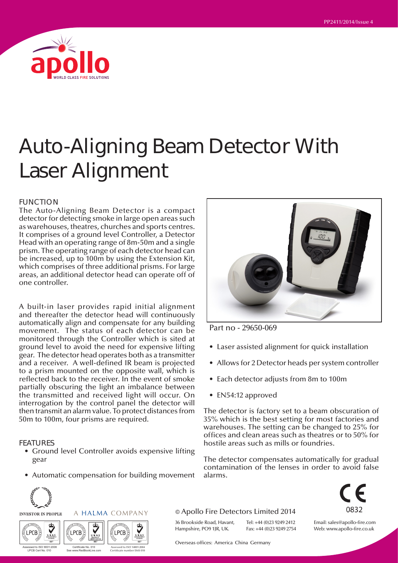

# Auto-Aligning Beam Detector With Laser Alignment

#### FUNCTION

The Auto-Aligning Beam Detector is a compact detector for detecting smoke in large open areas such as warehouses, theatres, churches and sports centres. It comprises of a ground level Controller, a Detector Head with an operating range of 8m-50m and a single prism. The operating range of each detector head can be increased, up to 100m by using the Extension Kit, which comprises of three additional prisms. For large areas, an additional detector head can operate off of one controller.

A built-in laser provides rapid initial alignment and thereafter the detector head will continuously automatically align and compensate for any building movement. The status of each detector can be monitored through the Controller which is sited at ground level to avoid the need for expensive lifting gear. The detector head operates both as a transmitter and a receiver. A well-defined IR beam is projected to a prism mounted on the opposite wall, which is reflected back to the receiver. In the event of smoke partially obscuring the light an imbalance between the transmitted and received light will occur. On interrogation by the control panel the detector will then transmit an alarm value. To protect distances from 50m to 100m, four prisms are required.

#### FEATURES

- Ground level Controller avoids expensive lifting gear
- Automatic compensation for building movement

A HALMA COMPANY

Assessed to ISO 14001:2004 Per EMS 010

 $002$ 

**LPCB** 

Certificate No. 010 See www.RedBookLive.com

LPCB

MANAGEMENT  $|| \cdot || \times \times$  /3/ | PRODUCT  $|| \cdot || \times \times$  /3/ | MANAGEMENT SYSTEMS



Part no - 29650-069

- Laser assisted alignment for quick installation
- Allows for 2 Detector heads per system controller
- Each detector adjusts from 8m to 100m
- EN54:12 approved

The detector is factory set to a beam obscuration of 35% which is the best setting for most factories and warehouses. The setting can be changed to 25% for offices and clean areas such as theatres or to 50% for hostile areas such as mills or foundries.

The detector compensates automatically for gradual contamination of the lenses in order to avoid false alarms.

> Tel: +44 (0)23 9249 2412 Fax: +44 (0)23 9249 2754



Email: sales@apollo-fire.com Web: www.apollo-fire.co.uk

© Apollo Fire Detectors Limited 2014

36 Brookside Road, Havant, Hampshire, PO9 1JR, UK.

Overseas offices: America China Germany

Assessed to ISO 9001:2008 LPCB Cert No. 010

LPCB

**INVESTOR IN PEOPLE**